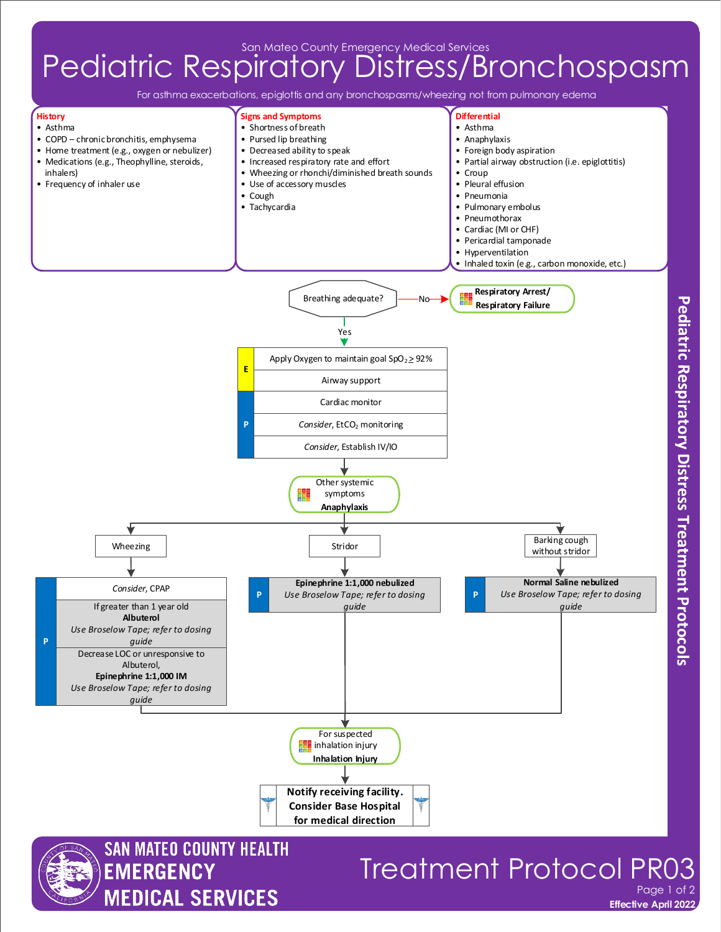## **Pediatric Respiratory Distress/Bronchospasm**

For asthma exacerbations, epiglottis and any bronchospasms/wheezing not from pulmonary edema



**Effective April 2022**